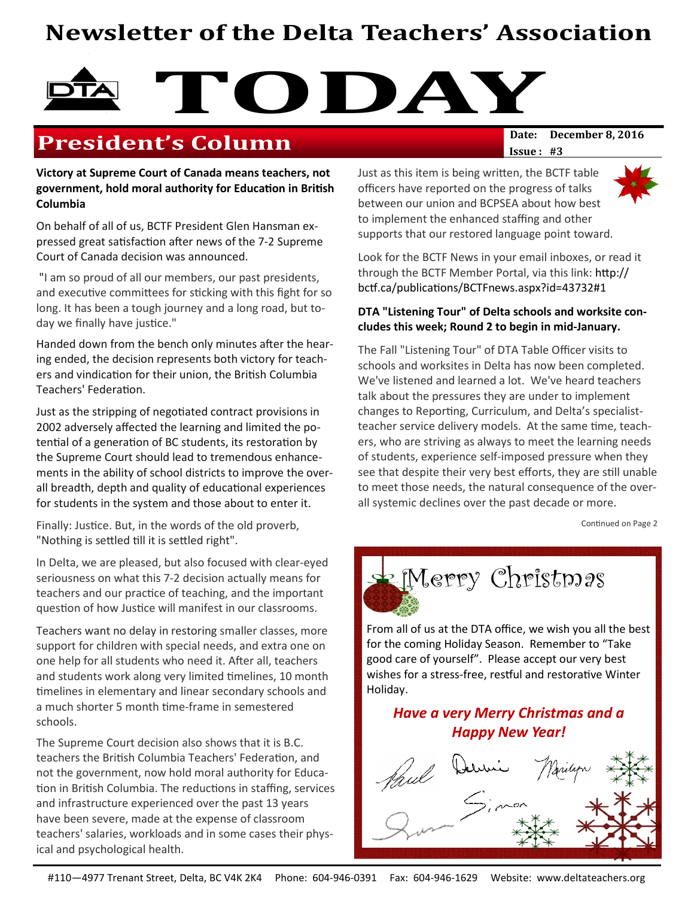# Newsletter of the Delta Teachers' Association

# TODAY Date: December 8, 2016

# **President's Column**

Victory at Supreme Court of Canada means teachers, not government, hold moral authority for Education in British Columbia

On behalf of all of us, BCTF President Glen Hansman expressed great satisfaction after news of the 7-2 Supreme Court of Canada decision was announced.

 "I am so proud of all our members, our past presidents, and executive committees for sticking with this fight for so long. It has been a tough journey and a long road, but today we finally have justice."

Handed down from the bench only minutes after the hearing ended, the decision represents both victory for teachers and vindication for their union, the British Columbia Teachers' Federation.

Just as the stripping of negotiated contract provisions in 2002 adversely affected the learning and limited the potential of a generation of BC students, its restoration by the Supreme Court should lead to tremendous enhancements in the ability of school districts to improve the overall breadth, depth and quality of educational experiences for students in the system and those about to enter it.

Finally: Justice. But, in the words of the old proverb, "Nothing is settled till it is settled right".

In Delta, we are pleased, but also focused with clear-eyed seriousness on what this 7-2 decision actually means for teachers and our practice of teaching, and the important question of how Justice will manifest in our classrooms.

Teachers want no delay in restoring smaller classes, more support for children with special needs, and extra one on one help for all students who need it. After all, teachers and students work along very limited timelines, 10 month timelines in elementary and linear secondary schools and a much shorter 5 month time-frame in semestered schools.

The Supreme Court decision also shows that it is B.C. teachers the British Columbia Teachers' Federation, and not the government, now hold moral authority for Educa tion in British Columbia. The reductions in staffing, services and infrastructure experienced over the past 13 years have been severe, made at the expense of classroom teachers' salaries, workloads and in some cases their physical and psychological health.

 $Issue: #3$ 

Just as this item is being written, the BCTF table officers have reported on the progress of talks between our union and BCPSEA about how best to implement the enhanced staffing and other supports that our restored language point toward.

Look for the BCTF News in your email inboxes, or read it through the BCTF Member Portal, via this link:  $http://$ bctf.ca/publications/BCTFnews.aspx?id=43732#1

#### DTA "Listening Tour" of Delta schools and worksite concludes this week; Round 2 to begin in mid-January.

The Fall "Listening Tour" of DTA Table Officer visits to schools and worksites in Delta has now been completed. We've listened and learned a lot. We've heard teachers talk about the pressures they are under to implement changes to Reporting, Curriculum, and Delta's specialistteacher service delivery models. At the same time, teachers, who are striving as always to meet the learning needs of students, experience self-imposed pressure when they see that despite their very best efforts, they are still unable to meet those needs, the natural consequence of the overall systemic declines over the past decade or more.

Continued on Page 2



From all of us at the DTA office, we wish you all the best for the coming Holiday Season. Remember to "Take good care of yourself". Please accept our very best wishes for a stress-free, restful and restorative Winter Holiday.

## Have a very Merry Christmas and a Happy New Year!